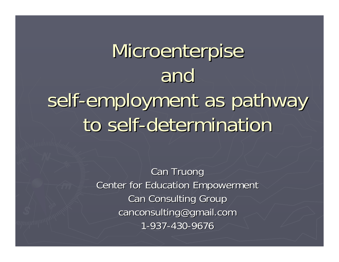# Microenterpise and self-employment as pathway to self-determination

**Can Truong Center for Education Empowerment Can Consulting Group** canconsulting@gmail.com 1-937-430-9676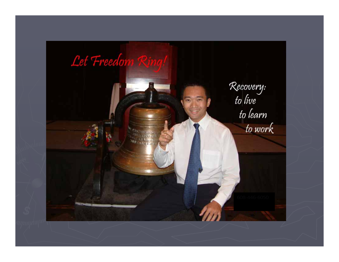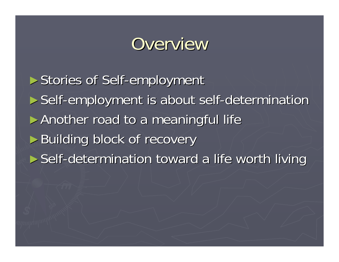### Overview

► Stories of Self-employment ► Self-employment is about self-determination ► Another road to a meaningful life ► Building block of recovery ► Self-determination toward a life worth living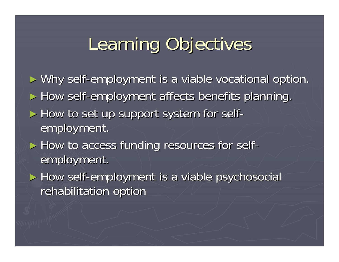### Learning Objectives Learning Objectives

► Why self-employment is a viable vocational option.

► How self-employment affects benefits planning.

- ► How to set up support system for selfemployment.
- ► How to access funding resources for self- employment.

► How self-employment is a viable psychosocial rehabilitation option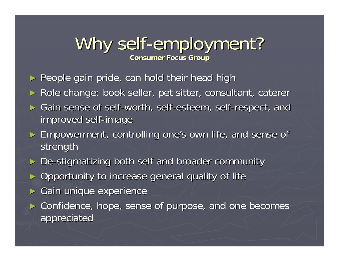#### Why self-employment? **Consumer Focus Group Consumer Focus Group**

- $\blacktriangleright$  People gain pride, can hold their head high
- ► Role change: book seller, pet sitter, consultant, caterer
- ► Gain sense of self-worth, self-esteem, self-respect, and improved self improved self-image
- ► Empowerment, controlling one's own life, and sense of strength
- ► De-stigmatizing both self and broader community
- ► Opportunity to increase general quality of life
- ►Gain unique experience
- ► Confidence, hope, sense of purpose, and one becomes appreciated appreciated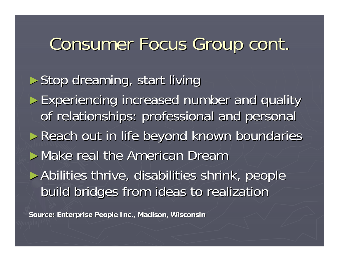### Consumer Focus Group cont.

 $\triangleright$  Stop dreaming, start living

► Experiencing increased number and quality of relationships: professional and personal ► Reach out in life beyond known boundaries  $\blacktriangleright$  Make real the American Dream ► Abilities thrive, disabilities shrink, people build bridges from ideas to realization build bridges from ideas to realization

**Source: Enterprise People Inc., Madison, Wisconsin Source: Enterprise People Inc., Madison, Wisconsin**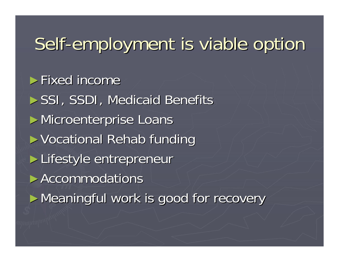### Self-employment is viable option

 $\blacktriangleright$  Fixed income ► SSI, SSDI, Medicaid Benefits ► Microenterprise Loans ► Vocational Rehab funding ► Lifestyle entrepreneur ► Accommodations ► Meaningful work is good for recovery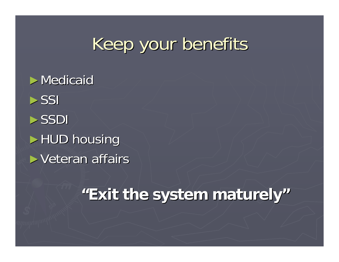### Keep your benefits

 $\triangleright$  Medicaid  $\triangleright$ SSI ►SSDI $\blacktriangleright$  HUD housing  $\blacktriangleright$  Veteran affairs

### **"Exit the system maturely Exit the system maturely"**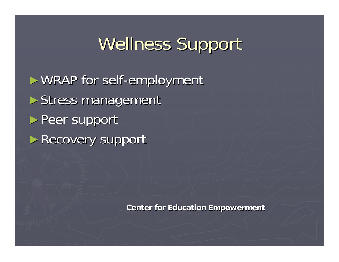### Wellness Support

 $\blacktriangleright$  WRAP for self-employment  $\blacktriangleright$  Stress management ► Peer support ► Recovery support

**Center for Education Empowerment Center for Education Empowerment**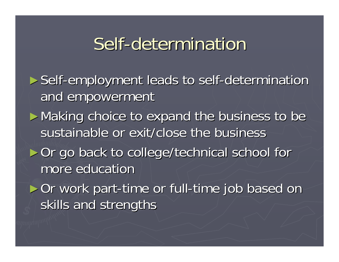### Self-determination

► Self-employment leads to self-determination and empowerment ► Making choice to expand the business to be sustainable or exit/close the business ► Or go back to college/technical school for more education ► Or work part-time or full-time job based on

skills and strengths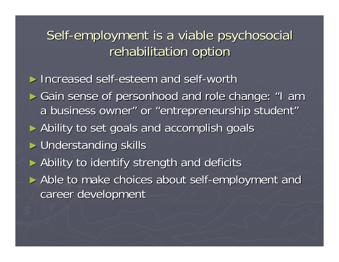#### Self-employment is a viable psychosocial rehabilitation option

► Increased self-esteem and self-worth

► Gain sense of personhood and role change: "I am a business owner" or "entrepreneurship student"

► Ability to set goals and accomplish goals

► Understanding skills

► Ability to identify strength and deficits

► Able to make choices about self-employment and career development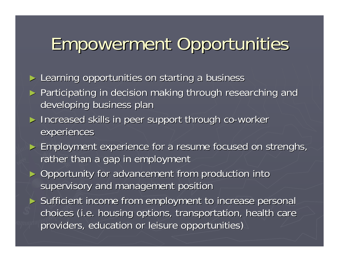### Empowerment Opportunities Empowerment Opportunities

► Learning opportunities on starting a business

- ► Participating in decision making through researching and developing business plan
- ► Increased skills in peer support through co-worker experiences
- ► Employment experience for a resume focused on strenghs, rather than a gap in employment
- ► Opportunity for advancement from production into supervisory and management position
- ► Sufficient income from employment to increase personal choices (i.e. housing options, transportation, health care providers, education or leisure opportunities)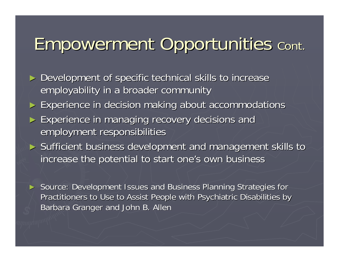### Empowerment Opportunities Empowerment Opportunities Cont.

- ► Development of specific technical skills to increase employability in a broader community
- ► Experience in decision making about accommodations
- ► Experience in managing recovery decisions and employment responsibilities employment responsibilities
- ► Sufficient business development and management skills to increase the potential to start one's own business
- ► Source: Development Issues and Business Planning Strategies for Practitioners to Use to Assist People with Psychiatric Disabilities by Barbara Granger and John B. Allen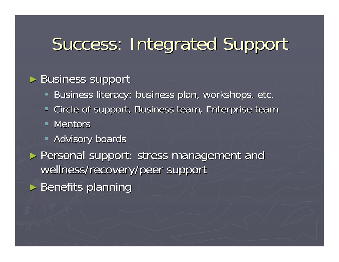### Success: Integrated Support

#### ► Business support

- **Business literacy: business plan, workshops, etc. Business literacy: business**
- **Example of support, Business team, Enterprise team, Circle of support, Business team**
- $\blacksquare$  Mentors
- **Advisory boards**
- ► Personal support: stress management and wellness/recovery/peer support
- $\blacktriangleright$  Benefits planning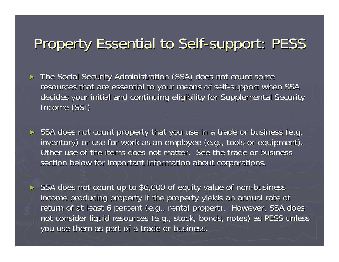### Property Essential to Self-support: PESS

- ► The Social Security Administration (SSA) does not count some resources that are essential to your means of self-support when SSA  $\,$ decides your initial and continuing eligibility for Supplemental Security Income<sup>(SSI)</sup>
- ► SSA does not count property that you use in a trade or business (e.g. inventory) or use for work as an employee (e.g., tools or equipment). Other use of the items does not matter. See the trade or business section below for important information about corporations.
- ► SSA does not count up to \$6,000 of equity value of non-business income producing property if the property yields an annual rate of return of at least 6 percent (e.g., rental propert). However, SSA does not consider liquid resources (e.g., stock, bonds, notes) as PESS unless you use them as part of a trade or business.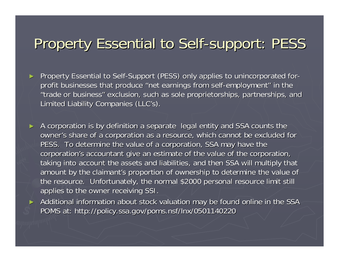### Property Essential to Self-support: PESS

- ►Property Essential to Self-Support (PESS) only applies to unincorporated forprofit businesses that produce "net earnings from self-employment" in the "trade or business" exclusion, such as sole proprietorships, partnerships, and Limited Liability Companies (LLC's).
- ► A corporation is by definition a separate legal entity and SSA counts the owner's share of a corporation as a resource, which cannot be excluded for PESS. To determine the value of a corporation, SSA may have the corporation's accountant give an estimate of the value of the corporation, taking into account the assets and liabilities, and then SSA will multiply that amount by the claimant's proportion of ownership to determine the value of the resource. Unfortunately, the normal \$2000 personal resource limit still applies to the owner receiving SSI.
	- Additional information about stock valuation may be found online in the SSA POMS at: http://policy.ssa.gov/poms.nsf/lnx/0501140220

►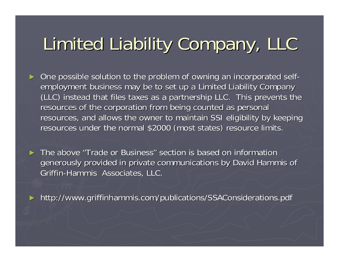# Limited Liability Company, LLC

► One possible solution to the problem of owning an incorporated selfemployment business may be to set up a Limited Liability Company (LLC) instead that files taxes as a partnership LLC. This prevents the resources of the corporation from being counted as personal resources, and allows the owner to maintain SSI eligibility by keeping resources under the normal \$2000 (most states) resource limits.

► The above "Trade or Business" section is based on information generously provided in private communications by David Hammis of Griffin-Hammis Associates, LLC.

► http://www.griffinhammis.com/publications/SSAConsiderations.pdf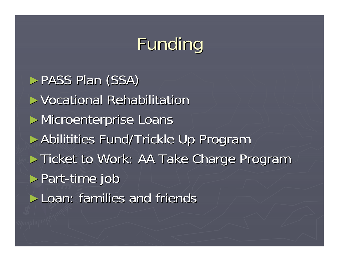## Funding

► PASS Plan (SSA) ► Vocational Rehabilitation ► Microenterprise Loans ► Abilitities Fund/Trickle Up Program ► Ticket to Work: AA Take Charge Program  $\triangleright$  Part-time job  $\blacktriangleright$  Loan: families and friends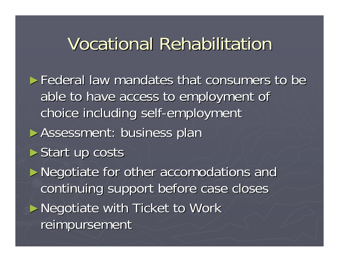### Vocational Rehabilitation

► Federal law mandates that consumers to be able to have access to employment of choice including self-employment ► Assessment: business plan  $\triangleright$  Start up costs ► Negotiate for other accomodations and

continuing support before case closes ► Negotiate with Ticket to Work

reimpursement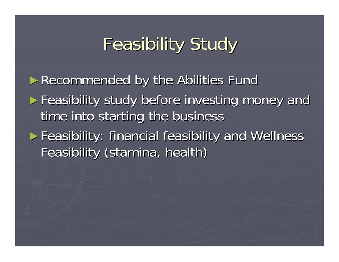# **Feasibility Study**

► Recommended by the Abilities Fund ► Feasibility study before investing money and time into starting the business ► Feasibility: financial feasibility and Wellness Feasibility (stamina, health)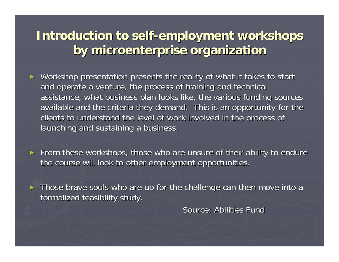#### **Introduction to self Introduction to self-employment workshops employment workshops by microenterprise organization by microenterprise organization**

- ► Workshop presentation presents the reality of what it takes to start and operate a venture, the process of training and technical assistance, what business plan looks like, the various funding sources available and the criteria they demand. This is an opportunity for the clients to understand the level of work involved in the process of launching and sustaining a business.
- ► From these workshops, those who are unsure of their ability to endure the course will look to other employment opportunities.
- ► Those brave souls who are up for the challenge can then move into a formalized feasibility study.

Source: Abilities Fund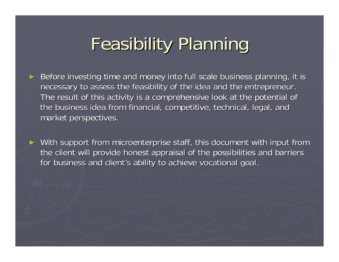## Feasibility Planning Feasibility Planning

►Before investing time and money into full scale business planning, it is necessary to assess the feasibility of the idea and the entrepreneur. The result of this activity is a comprehensive look at the potential of the business idea from financial, competitive, technical, legal, and market perspectives.

► With support from microenterprise staff, this document with input from the client will provide honest appraisal of the possibilities and barriers for business and client's ability to achieve vocational goal.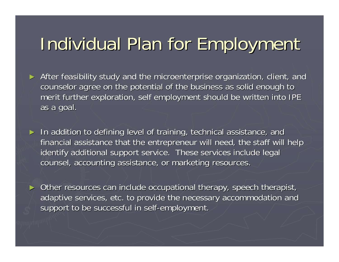### Individual Plan for Employment

- ► After feasibility study and the microenterprise organization, client, and counselor agree on the potential of the business as solid enough to merit further exploration, self employment should be written into IPE as a goal.
- ► In addition to defining level of training, technical assistance, and financial assistance that the entrepreneur will need, the staff will help identify additional support service. These services include legal counsel, accounting assistance, or marketing resources.
- ► Other resources can include occupational therapy, speech therapist, adaptive services, etc. to provide the necessary accommodation and support to be successful in self-employment.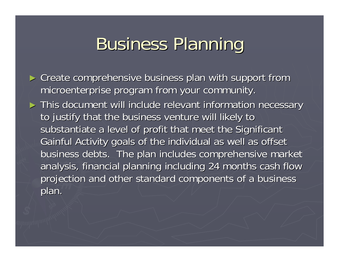### **Business Planning**

► Create comprehensive business plan with support from microenterprise program from your community. microenterprise program from your community.

► This document will include relevant information necessary to justify that the business venture will likely to substantiate a level of profit that meet the Significant Gainful Activity goals of the individual as well as offset business debts. The plan includes comprehensive market analysis, financial planning including 24 months cash flow projection and other standard components of a business plan.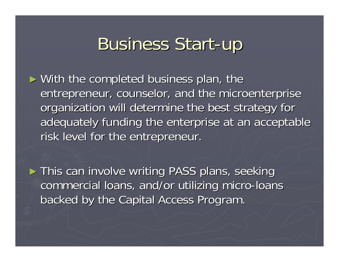### **Business Start-up**

- $\triangleright$  With the completed business plan, the entrepreneur, counselor, and the microenterprise organization will determine the best strategy for adequately funding the enterprise at an acceptable risk level for the entrepreneur.
- ► This can involve writing PASS plans, seeking commercial loans, and/or utilizing micro-loans backed by the Capital Access Program. backed by the Capital Access Program.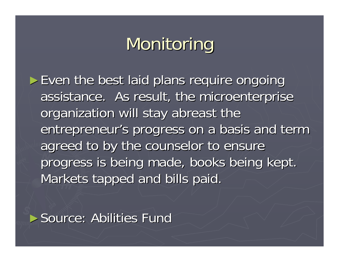### Monitoring

 $\triangleright$  Even the best laid plans require ongoing assistance. As result, the microenterprise organization will stay abreast the entrepreneur's progress on a basis and term agreed to by the counselor to ensure progress is being made, books being kept. Markets tapped and bills paid.

► Source: Abilities Fund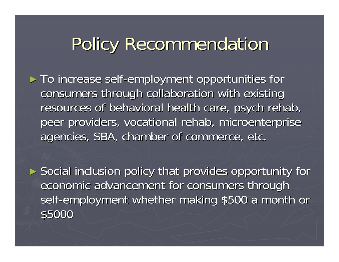### Policy Recommendation

► To increase self-employment opportunities for consumers through collaboration with existing resources of behavioral health care, psych rehab, peer providers, vocational rehab, microenterprise agencies, SBA, chamber of commerce, etc.

► Social inclusion policy that provides opportunity for economic advancement for consumers through self-employment whether making \$500 a month or \$5000